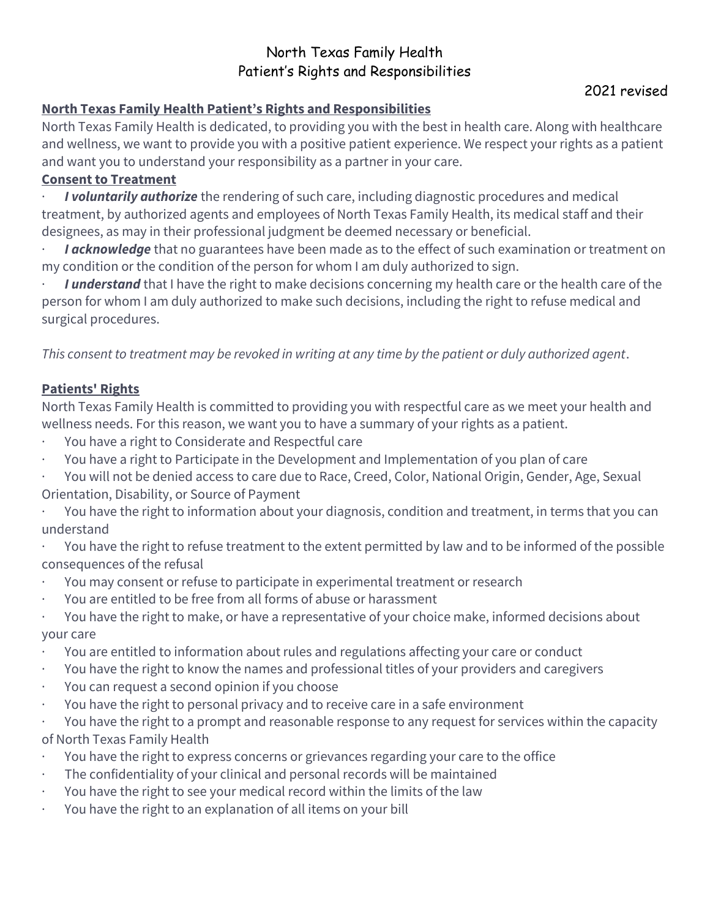## North Texas Family Health Patient's Rights and Responsibilities

## **North Texas Family Health Patient's Rights and Responsibilities**

North Texas Family Health is dedicated, to providing you with the best in health care. Along with healthcare and wellness, we want to provide you with a positive patient experience. We respect your rights as a patient and want you to understand your responsibility as a partner in your care.

## **Consent to Treatment**

*I* voluntarily authorize the rendering of such care, including diagnostic procedures and medical treatment, by authorized agents and employees of North Texas Family Health, its medical staff and their designees, as may in their professional judgment be deemed necessary or beneficial.

*I* acknowledge that no guarantees have been made as to the effect of such examination or treatment on my condition or the condition of the person for whom I am duly authorized to sign.

I understand that I have the right to make decisions concerning my health care or the health care of the person for whom I am duly authorized to make such decisions, including the right to refuse medical and surgical procedures.

*This consent to treatment may be revoked in writing at any time by the patient or duly authorized agent*.

## **Patients' Rights**

North Texas Family Health is committed to providing you with respectful care as we meet your health and wellness needs. For this reason, we want you to have a summary of your rights as a patient.

- You have a right to Considerate and Respectful care
- · You have a right to Participate in the Development and Implementation of you plan of care
- · You will not be denied access to care due to Race, Creed, Color, National Origin, Gender, Age, Sexual Orientation, Disability, or Source of Payment

You have the right to information about your diagnosis, condition and treatment, in terms that you can understand

· You have the right to refuse treatment to the extent permitted by law and to be informed of the possible consequences of the refusal

- · You may consent or refuse to participate in experimental treatment or research
- You are entitled to be free from all forms of abuse or harassment
- · You have the right to make, or have a representative of your choice make, informed decisions about your care
- · You are entitled to information about rules and regulations affecting your care or conduct
- · You have the right to know the names and professional titles of your providers and caregivers
- You can request a second opinion if you choose
- · You have the right to personal privacy and to receive care in a safe environment

· You have the right to a prompt and reasonable response to any request for services within the capacity of North Texas Family Health

- You have the right to express concerns or grievances regarding your care to the office
- The confidentiality of your clinical and personal records will be maintained
- · You have the right to see your medical record within the limits of the law
- You have the right to an explanation of all items on your bill